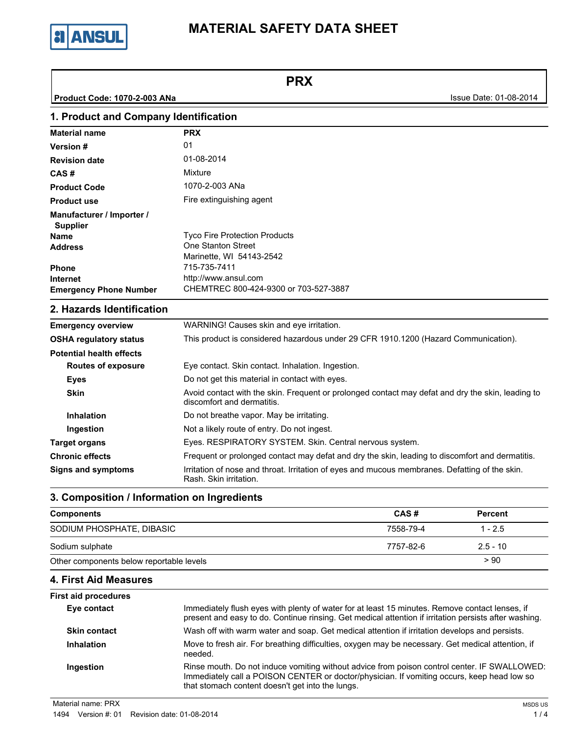

**PRX**

**Product Code: 1070-2-003 ANa Issue Date: 01-08-2014** 

#### **1. Product and Company Identification Material name PRX Version # Revision date CAS # Product Code Product use** 01 01-08-2014 Mixture 1070-2-003 ANa Fire extinguishing agent Tyco Fire Protection Products One Stanton Street Marinette, WI 54143-2542 715-735-7411 http://www.ansul.com **Emergency Phone Number** CHEMTREC 800-424-9300 or 703-527-3887 **Internet Phone Address Name Supplier Manufacturer / Importer /**

### **2. Hazards Identification**

| <b>Emergency overview</b>                                                                                                                             | WARNING! Causes skin and eye irritation.                                                                                        |  |  |
|-------------------------------------------------------------------------------------------------------------------------------------------------------|---------------------------------------------------------------------------------------------------------------------------------|--|--|
| <b>OSHA regulatory status</b>                                                                                                                         | This product is considered hazardous under 29 CFR 1910.1200 (Hazard Communication).                                             |  |  |
| <b>Potential health effects</b>                                                                                                                       |                                                                                                                                 |  |  |
| <b>Routes of exposure</b>                                                                                                                             | Eye contact. Skin contact. Inhalation. Ingestion.                                                                               |  |  |
| <b>Eyes</b>                                                                                                                                           | Do not get this material in contact with eyes.                                                                                  |  |  |
| <b>Skin</b>                                                                                                                                           | Avoid contact with the skin. Frequent or prolonged contact may defat and dry the skin, leading to<br>discomfort and dermatitis. |  |  |
| <b>Inhalation</b>                                                                                                                                     | Do not breathe vapor. May be irritating.                                                                                        |  |  |
| Ingestion                                                                                                                                             | Not a likely route of entry. Do not ingest.                                                                                     |  |  |
| <b>Target organs</b>                                                                                                                                  | Eyes. RESPIRATORY SYSTEM. Skin. Central nervous system.                                                                         |  |  |
| <b>Chronic effects</b>                                                                                                                                | Frequent or prolonged contact may defat and dry the skin, leading to discomfort and dermatitis.                                 |  |  |
| Irritation of nose and throat. Irritation of eyes and mucous membranes. Defatting of the skin.<br><b>Signs and symptoms</b><br>Rash. Skin irritation. |                                                                                                                                 |  |  |

# **3. Composition / Information on Ingredients**

| <b>Components</b>                        | CAS#      | <b>Percent</b> |
|------------------------------------------|-----------|----------------|
| SODIUM PHOSPHATE, DIBASIC                | 7558-79-4 | $1 - 2.5$      |
| Sodium sulphate                          | 7757-82-6 | $2.5 - 10$     |
| Other components below reportable levels |           | > 90           |

# **4. First Aid Measures**

| <b>First aid procedures</b> |                                                                                                                                                                                                                                                |
|-----------------------------|------------------------------------------------------------------------------------------------------------------------------------------------------------------------------------------------------------------------------------------------|
| Eye contact                 | Immediately flush eyes with plenty of water for at least 15 minutes. Remove contact lenses, if<br>present and easy to do. Continue rinsing. Get medical attention if irritation persists after washing.                                        |
| <b>Skin contact</b>         | Wash off with warm water and soap. Get medical attention if irritation develops and persists.                                                                                                                                                  |
| <b>Inhalation</b>           | Move to fresh air. For breathing difficulties, oxygen may be necessary. Get medical attention, if<br>needed.                                                                                                                                   |
| Ingestion                   | Rinse mouth. Do not induce vomiting without advice from poison control center. IF SWALLOWED:<br>Immediately call a POISON CENTER or doctor/physician. If vomiting occurs, keep head low so<br>that stomach content doesn't get into the lungs. |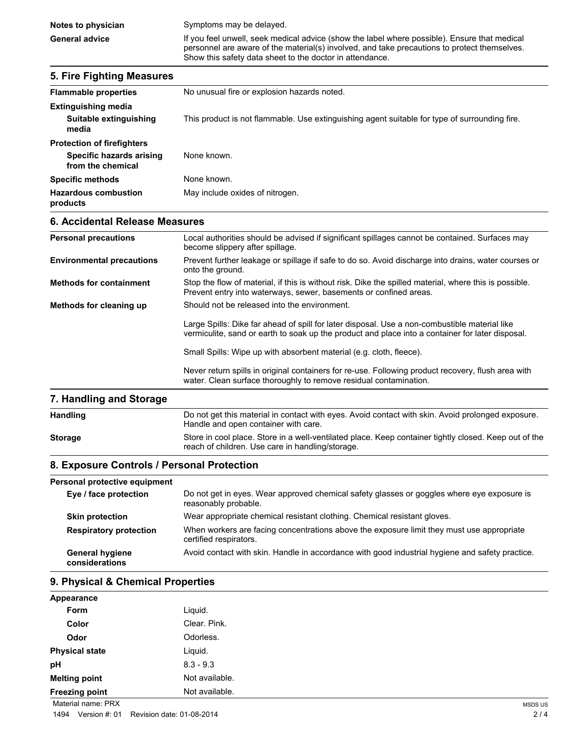## **5. Fire Fighting Measures Flammable properties** No unusual fire or explosion hazards noted. **Extinguishing media Suitable extinguishing media** This product is not flammable. Use extinguishing agent suitable for type of surrounding fire. **Protection of firefighters Specific hazards arising from the chemical** None known. **Specific methods** None known. **Hazardous combustion products** May include oxides of nitrogen. **6. Accidental Release Measures Personal precautions** Local authorities should be advised if significant spillages cannot be contained. Surfaces may become slippery after spillage. **Environmental precautions** Prevent further leakage or spillage if safe to do so. Avoid discharge into drains, water courses or onto the ground. **Methods for containment** Stop the flow of material, if this is without risk. Dike the spilled material, where this is possible. Prevent entry into waterways, sewer, basements or confined areas. **Methods for cleaning up** Should not be released into the environment. Large Spills: Dike far ahead of spill for later disposal. Use a non-combustible material like vermiculite, sand or earth to soak up the product and place into a container for later disposal. Small Spills: Wipe up with absorbent material (e.g. cloth, fleece). Never return spills in original containers for re-use. Following product recovery, flush area with water. Clean surface thoroughly to remove residual contamination. **7. Handling and Storage** Handling **Example 20 To 10 Hotaba 10 Do not get this material in contact with eyes. Avoid contact with skin. Avoid prolonged exposure.** Handle and open container with care.

### **8. Exposure Controls / Personal Protection**

### **Personal protective equipment**

| Asonal protective equipment              |                                                                                                                     |
|------------------------------------------|---------------------------------------------------------------------------------------------------------------------|
| Eye / face protection                    | Do not get in eyes. Wear approved chemical safety glasses or goggles where eye exposure is<br>reasonably probable.  |
| <b>Skin protection</b>                   | Wear appropriate chemical resistant clothing. Chemical resistant gloves.                                            |
| <b>Respiratory protection</b>            | When workers are facing concentrations above the exposure limit they must use appropriate<br>certified respirators. |
| <b>General hygiene</b><br>considerations | Avoid contact with skin. Handle in accordance with good industrial hygiene and safety practice.                     |

**Storage** Store in cool place. Store in a well-ventilated place. Keep container tightly closed. Keep out of the

reach of children. Use care in handling/storage.

### **9. Physical & Chemical Properties**

| Appearance            |                |  |
|-----------------------|----------------|--|
| Form                  | Liquid.        |  |
| Color                 | Clear. Pink.   |  |
| Odor                  | Odorless.      |  |
| <b>Physical state</b> | Liquid.        |  |
| pH                    | $8.3 - 9.3$    |  |
| <b>Melting point</b>  | Not available. |  |
| <b>Freezing point</b> | Not available. |  |

Material name: PRX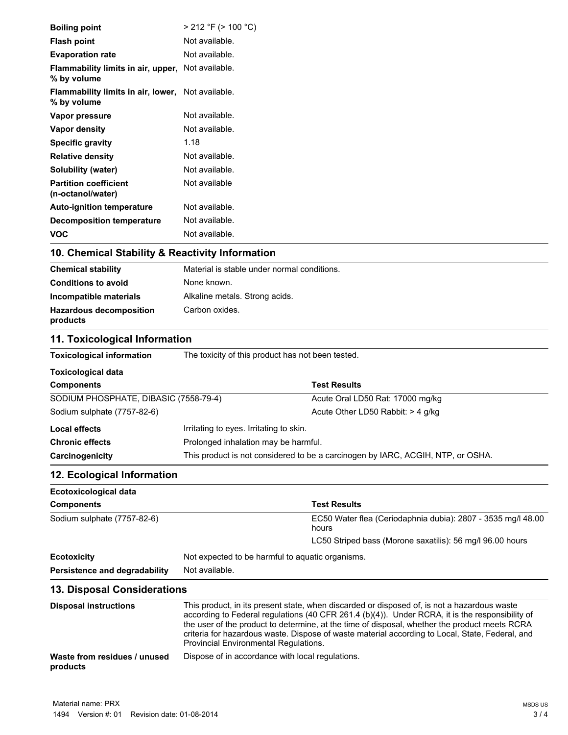| products                                                             |                                                                                                                                                                                                                                                                                               |                                                                                                                                    |  |
|----------------------------------------------------------------------|-----------------------------------------------------------------------------------------------------------------------------------------------------------------------------------------------------------------------------------------------------------------------------------------------|------------------------------------------------------------------------------------------------------------------------------------|--|
| Waste from residues / unused                                         | the user of the product to determine, at the time of disposal, whether the product meets RCRA<br>criteria for hazardous waste. Dispose of waste material according to Local, State, Federal, and<br>Provincial Environmental Regulations.<br>Dispose of in accordance with local regulations. |                                                                                                                                    |  |
| <b>Disposal instructions</b>                                         | This product, in its present state, when discarded or disposed of, is not a hazardous waste<br>according to Federal regulations (40 CFR 261.4 (b)(4)). Under RCRA, it is the responsibility of                                                                                                |                                                                                                                                    |  |
| <b>13. Disposal Considerations</b>                                   |                                                                                                                                                                                                                                                                                               |                                                                                                                                    |  |
| Persistence and degradability                                        | Not available.                                                                                                                                                                                                                                                                                |                                                                                                                                    |  |
| <b>Ecotoxicity</b>                                                   | Not expected to be harmful to aquatic organisms.                                                                                                                                                                                                                                              |                                                                                                                                    |  |
| Sodium sulphate (7757-82-6)                                          |                                                                                                                                                                                                                                                                                               | EC50 Water flea (Ceriodaphnia dubia): 2807 - 3535 mg/l 48.00<br>hours<br>LC50 Striped bass (Morone saxatilis): 56 mg/l 96.00 hours |  |
| <b>Components</b>                                                    |                                                                                                                                                                                                                                                                                               | <b>Test Results</b>                                                                                                                |  |
| Ecotoxicological data                                                |                                                                                                                                                                                                                                                                                               |                                                                                                                                    |  |
| 12. Ecological Information                                           |                                                                                                                                                                                                                                                                                               |                                                                                                                                    |  |
| Carcinogenicity                                                      |                                                                                                                                                                                                                                                                                               |                                                                                                                                    |  |
| <b>Chronic effects</b>                                               | Prolonged inhalation may be harmful.<br>This product is not considered to be a carcinogen by IARC, ACGIH, NTP, or OSHA.                                                                                                                                                                       |                                                                                                                                    |  |
| <b>Local effects</b>                                                 | Irritating to eyes. Irritating to skin.                                                                                                                                                                                                                                                       |                                                                                                                                    |  |
|                                                                      |                                                                                                                                                                                                                                                                                               |                                                                                                                                    |  |
| SODIUM PHOSPHATE, DIBASIC (7558-79-4)<br>Sodium sulphate (7757-82-6) |                                                                                                                                                                                                                                                                                               | Acute Oral LD50 Rat: 17000 mg/kg<br>Acute Other LD50 Rabbit: > 4 g/kg                                                              |  |
| <b>Components</b>                                                    |                                                                                                                                                                                                                                                                                               |                                                                                                                                    |  |
| <b>Toxicological data</b>                                            |                                                                                                                                                                                                                                                                                               | <b>Test Results</b>                                                                                                                |  |
|                                                                      |                                                                                                                                                                                                                                                                                               |                                                                                                                                    |  |
| <b>Toxicological information</b>                                     | The toxicity of this product has not been tested.                                                                                                                                                                                                                                             |                                                                                                                                    |  |
| 11. Toxicological Information                                        |                                                                                                                                                                                                                                                                                               |                                                                                                                                    |  |
| <b>Hazardous decomposition</b><br>products                           | Carbon oxides.                                                                                                                                                                                                                                                                                |                                                                                                                                    |  |
| Incompatible materials                                               | Alkaline metals. Strong acids.                                                                                                                                                                                                                                                                |                                                                                                                                    |  |
| <b>Conditions to avoid</b>                                           | None known.                                                                                                                                                                                                                                                                                   |                                                                                                                                    |  |
| <b>Chemical stability</b>                                            | Material is stable under normal conditions.                                                                                                                                                                                                                                                   |                                                                                                                                    |  |
| 10. Chemical Stability & Reactivity Information                      |                                                                                                                                                                                                                                                                                               |                                                                                                                                    |  |
| <b>VOC</b>                                                           | Not available.                                                                                                                                                                                                                                                                                |                                                                                                                                    |  |
| <b>Decomposition temperature</b>                                     | Not available.                                                                                                                                                                                                                                                                                |                                                                                                                                    |  |
| Auto-ignition temperature                                            | Not available.                                                                                                                                                                                                                                                                                |                                                                                                                                    |  |
| (n-octanol/water)                                                    |                                                                                                                                                                                                                                                                                               |                                                                                                                                    |  |
| <b>Solubility (water)</b><br><b>Partition coefficient</b>            | Not available.<br>Not available                                                                                                                                                                                                                                                               |                                                                                                                                    |  |
| <b>Relative density</b>                                              | Not available.                                                                                                                                                                                                                                                                                |                                                                                                                                    |  |
| <b>Specific gravity</b>                                              | 1.18                                                                                                                                                                                                                                                                                          |                                                                                                                                    |  |
| Vapor density                                                        | Not available.                                                                                                                                                                                                                                                                                |                                                                                                                                    |  |
| Vapor pressure                                                       | Not available.                                                                                                                                                                                                                                                                                |                                                                                                                                    |  |
| Flammability limits in air, lower, Not available.<br>% by volume     |                                                                                                                                                                                                                                                                                               |                                                                                                                                    |  |
| Flammability limits in air, upper, Not available.<br>% by volume     |                                                                                                                                                                                                                                                                                               |                                                                                                                                    |  |
| <b>Evaporation rate</b>                                              | Not available.                                                                                                                                                                                                                                                                                |                                                                                                                                    |  |
| <b>Flash point</b>                                                   | Not available.                                                                                                                                                                                                                                                                                |                                                                                                                                    |  |
| <b>Boiling point</b>                                                 | $>$ 212 °F ( $>$ 100 °C)                                                                                                                                                                                                                                                                      |                                                                                                                                    |  |
|                                                                      |                                                                                                                                                                                                                                                                                               |                                                                                                                                    |  |